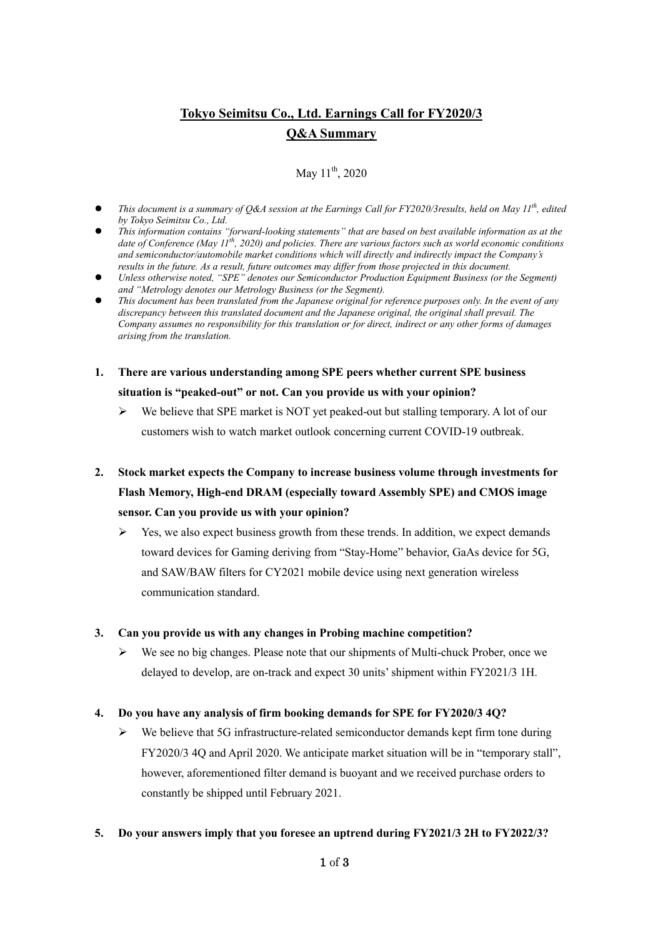# **Tokyo Seimitsu Co., Ltd. Earnings Call for FY2020/3 Q&A Summary**

May  $11^{th}$ , 2020

- *This document is a summary of Q&A session at the Earnings Call for FY2020/3results, held on May 11th , edited by Tokyo Seimitsu Co., Ltd.*
- *This information contains "forward-looking statements" that are based on best available information as at the date of Conference (May 11th, 2020) and policies. There are various factors such as world economic conditions and semiconductor/automobile market conditions which will directly and indirectly impact the Company's results in the future. As a result, future outcomes may differ from those projected in this document.*
- *Unless otherwise noted, "SPE" denotes our Semiconductor Production Equipment Business (or the Segment) and "Metrology denotes our Metrology Business (or the Segment).*
- *This document has been translated from the Japanese original for reference purposes only. In the event of any discrepancy between this translated document and the Japanese original, the original shall prevail. The Company assumes no responsibility for this translation or for direct, indirect or any other forms of damages arising from the translation.*
- **1. There are various understanding among SPE peers whether current SPE business situation is "peaked-out" or not. Can you provide us with your opinion?**
	- $\triangleright$  We believe that SPE market is NOT yet peaked-out but stalling temporary. A lot of our customers wish to watch market outlook concerning current COVID-19 outbreak.
- **2. Stock market expects the Company to increase business volume through investments for Flash Memory, High-end DRAM (especially toward Assembly SPE) and CMOS image sensor. Can you provide us with your opinion?**
	- $\triangleright$  Yes, we also expect business growth from these trends. In addition, we expect demands toward devices for Gaming deriving from "Stay-Home" behavior, GaAs device for 5G, and SAW/BAW filters for CY2021 mobile device using next generation wireless communication standard.

#### **3. Can you provide us with any changes in Probing machine competition?**

 $\triangleright$  We see no big changes. Please note that our shipments of Multi-chuck Prober, once we delayed to develop, are on-track and expect 30 units'shipment within FY2021/3 1H.

### **4. Do you have any analysis of firm booking demands for SPE for FY2020/3 4Q?**

 $\triangleright$  We believe that 5G infrastructure-related semiconductor demands kept firm tone during FY2020/3 4Q and April 2020. We anticipate market situation will be in "temporary stall", however, aforementioned filter demand is buoyant and we received purchase orders to constantly be shipped until February 2021.

### **5. Do your answers imply that you foresee an uptrend during FY2021/3 2H to FY2022/3?**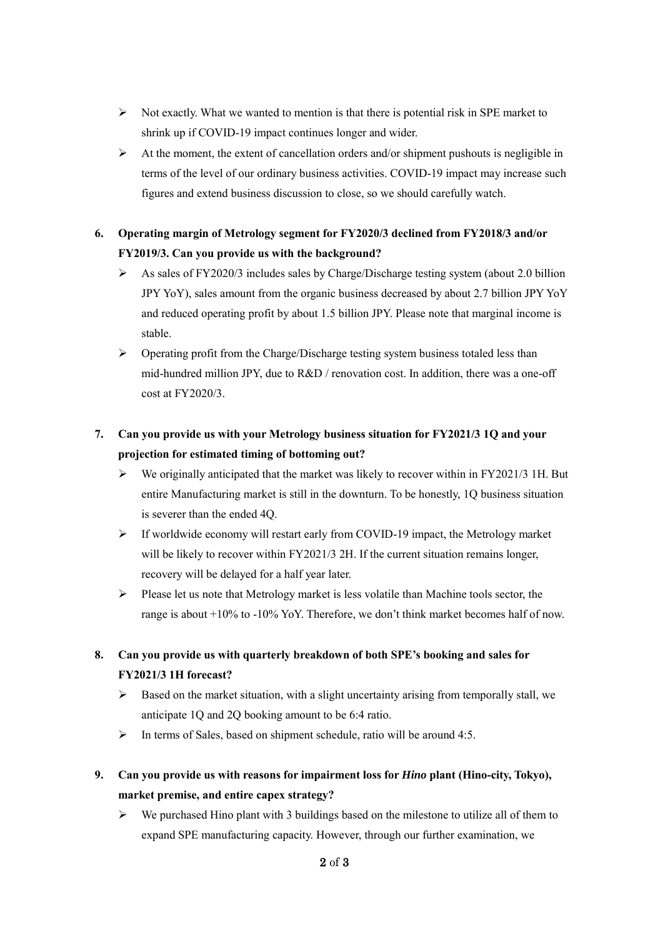- $\triangleright$  Not exactly. What we wanted to mention is that there is potential risk in SPE market to shrink up if COVID-19 impact continues longer and wider.
- $\triangleright$  At the moment, the extent of cancellation orders and/or shipment pushouts is negligible in terms of the level of our ordinary business activities. COVID-19 impact may increase such figures and extend business discussion to close, so we should carefully watch.
- **6. Operating margin of Metrology segment for FY2020/3 declined from FY2018/3 and/or FY2019/3. Can you provide us with the background?**
	- As sales of FY2020/3 includes sales by Charge/Discharge testing system (about 2.0 billion JPY YoY), sales amount from the organic business decreased by about 2.7 billion JPY YoY and reduced operating profit by about 1.5 billion JPY. Please note that marginal income is stable.
	- $\triangleright$  Operating profit from the Charge/Discharge testing system business totaled less than mid-hundred million JPY, due to R&D / renovation cost. In addition, there was a one-off cost at FY2020/3.

# **7. Can you provide us with your Metrology business situation for FY2021/3 1Q and your projection for estimated timing of bottoming out?**

- $\triangleright$  We originally anticipated that the market was likely to recover within in FY2021/3 1H. But entire Manufacturing market is still in the downturn. To be honestly, 1Q business situation is severer than the ended 4Q.
- $\triangleright$  If worldwide economy will restart early from COVID-19 impact, the Metrology market will be likely to recover within FY2021/3 2H. If the current situation remains longer, recovery will be delayed for a half year later.
- $\triangleright$  Please let us note that Metrology market is less volatile than Machine tools sector, the range is about +10% to -10% YoY. Therefore, we don't think market becomes half of now.

## **8. Can you provide us with quarterly breakdown of both SPE's booking and sales for FY2021/3 1H forecast?**

- $\triangleright$  Based on the market situation, with a slight uncertainty arising from temporally stall, we anticipate 1Q and 2Q booking amount to be 6:4 ratio.
- $\triangleright$  In terms of Sales, based on shipment schedule, ratio will be around 4:5.
- **9. Can you provide us with reasons for impairment loss for** *Hino* **plant (Hino-city, Tokyo), market premise, and entire capex strategy?** 
	- $\triangleright$  We purchased Hino plant with 3 buildings based on the milestone to utilize all of them to expand SPE manufacturing capacity. However, through our further examination, we